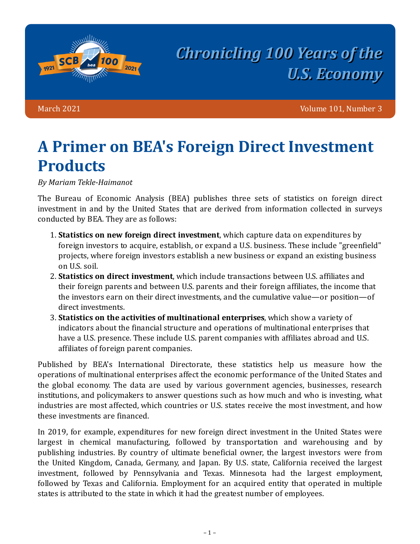

## *Chronicling 100 Years of the U.S. Economy*

March 2021 Volume 101, Number 3

## **A Primer on BEA's Foreign Direct Investment Products**

*By Mariam Tekle-Haimanot*

The Bureau of Economic Analysis (BEA) publishes three sets of statistics on foreign direct investment in and by the United States that are derived from information collected in surveys conducted by BEA. They are as follows:

- **1. Statistics on new foreign direct investment**, which capture data on expenditures by foreign investors to acquire, establish, or expand a U.S. business. These include "greenfield" projects, where foreign investors establish a new business or expand an existing business on U.S. soil.
- 2. **Statistics on direct investment**, which include transactions between U.S. affiliates and their foreign parents and between U.S. parents and their foreign affiliates, the income that the investors earn on their direct investments, and the cumulative value—or position—of direct investments.
- **3. Statistics on the activities of multinational enterprises**, which show a variety of indicators about the financial structure and operations of multinational enterprises that have a U.S. presence. These include U.S. parent companies with affiliates abroad and U.S. affiliates of foreign parent companies.

Published by BEA's International Directorate, these statistics help us measure how the operations of multinational enterprises affect the economic performance of the United States and the global economy. The data are used by various government agencies, businesses, research institutions, and policymakers to answer questions such as how much and who is investing, what industries are most affected, which countries or U.S. states receive the most investment, and how these investments are financed.

In 2019, for example, expenditures for new foreign direct investment in the United States were largest in chemical manufacturing, followed by transportation and warehousing and by publishing industries. By country of ultimate beneficial owner, the largest investors were from the United Kingdom, Canada, Germany, and Japan. By U.S. state, California received the largest investment, followed by Pennsylvania and Texas. Minnesota had the largest employment, followed by Texas and California. Employment for an acquired entity that operated in multiple states is attributed to the state in which it had the greatest number of employees.